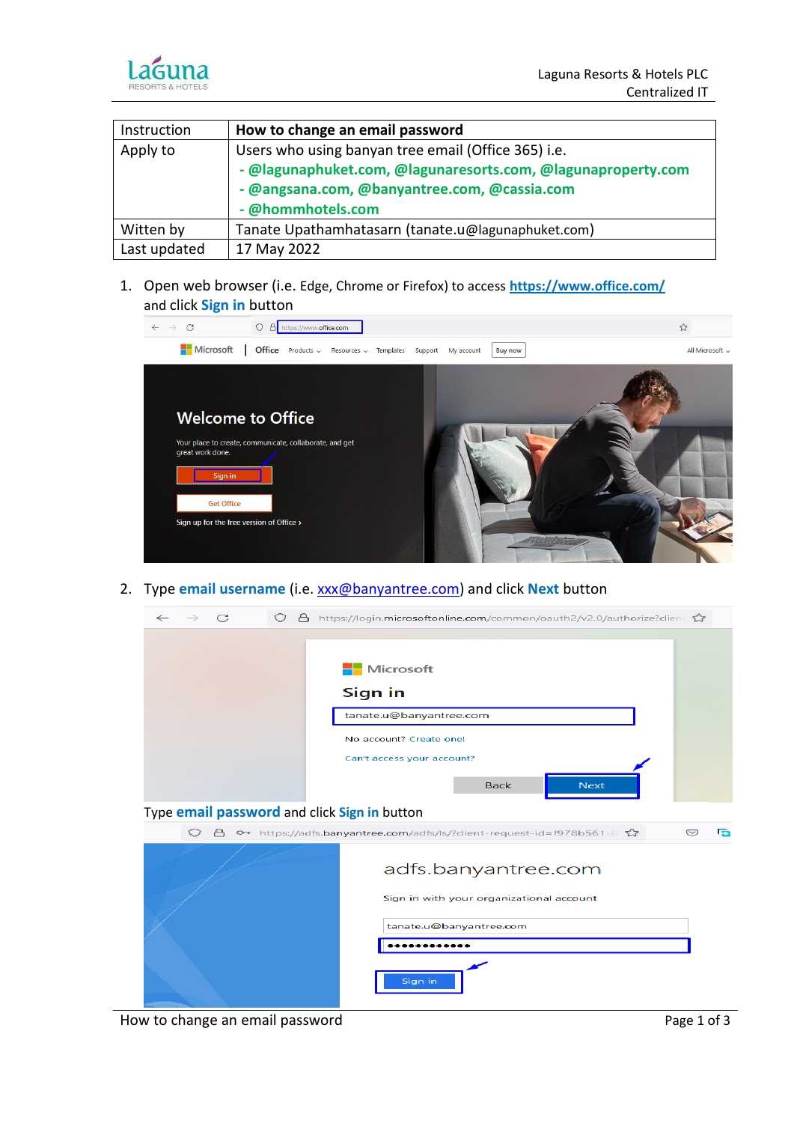

| Instruction  | How to change an email password                              |
|--------------|--------------------------------------------------------------|
| Apply to     | Users who using banyan tree email (Office 365) i.e.          |
|              | - @lagunaphuket.com, @lagunaresorts.com, @lagunaproperty.com |
|              | - @angsana.com, @banyantree.com, @cassia.com                 |
|              | - @hommhotels.com                                            |
| Witten by    | Tanate Upathamhatasarn (tanate.u@lagunaphuket.com)           |
| Last updated | 17 May 2022                                                  |

1. Open web browser (i.e. Edge, Chrome or Firefox) to access **<https://www.office.com/>** and click **Sign in** button



2. Type **email username** (i.e. [xxx@banyantree.com\)](mailto:xxx@banyantree.com) and click **Next** button



How to change an email password example and the page 1 of 3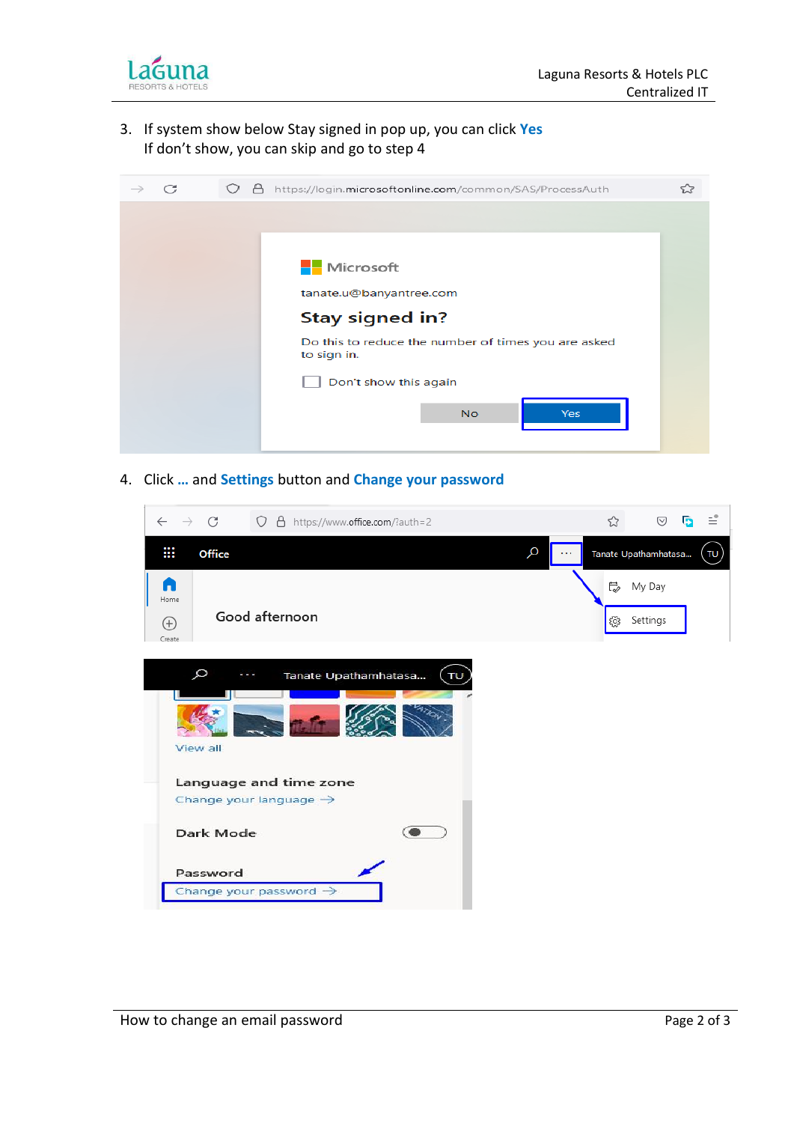

3. If system show below Stay signed in pop up, you can click **Yes** If don't show, you can skip and go to step 4



4. Click **…** and **Settings** button and **Change your password**

| $\leftarrow$<br>$\rightarrow$   | C<br>O A https://www.office.com/?auth=2                      | ☆         | ♡                    | Б | ≝             |
|---------------------------------|--------------------------------------------------------------|-----------|----------------------|---|---------------|
| ₩                               | Q<br>Office                                                  |           | Tanate Upathamhatasa |   | $\mathsf{TD}$ |
| n<br>Home<br>$^{(+)}$<br>Create | Good afternoon                                               | ₿<br>ૹૢ૽ૺ | My Day<br>Settings   |   |               |
|                                 | Q<br>Tanate Upathamhatasa<br>TU<br>View all                  |           |                      |   |               |
|                                 | Language and time zone<br>Change your language $\rightarrow$ |           |                      |   |               |
|                                 | Dark Mode                                                    |           |                      |   |               |
|                                 | Password<br>Change your password $\rightarrow$               |           |                      |   |               |